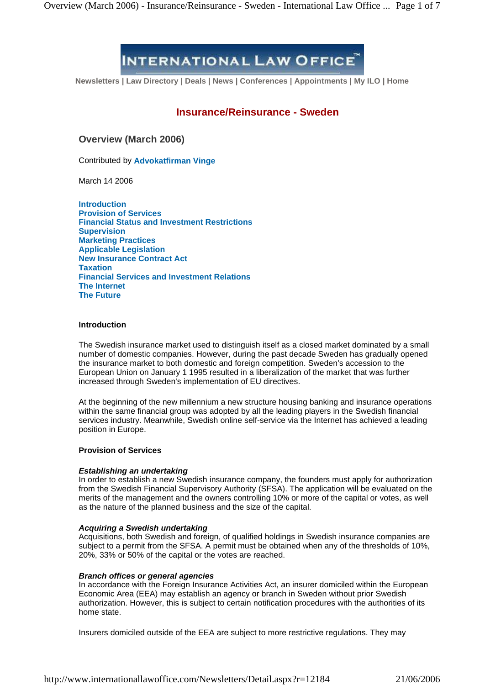# **INTERNATIONAL LAW OFFICE**

**Newsletters | Law Directory | Deals | News | Conferences | Appointments | My ILO | Home**

# **Insurance/Reinsurance - Sweden**

**Overview (March 2006)**

Contributed by **Advokatfirman Vinge**

March 14 2006

**Introduction Provision of Services Financial Status and Investment Restrictions Supervision Marketing Practices Applicable Legislation New Insurance Contract Act Taxation Financial Services and Investment Relations The Internet The Future**

# **Introduction**

The Swedish insurance market used to distinguish itself as a closed market dominated by a small number of domestic companies. However, during the past decade Sweden has gradually opened the insurance market to both domestic and foreign competition. Sweden's accession to the European Union on January 1 1995 resulted in a liberalization of the market that was further increased through Sweden's implementation of EU directives.

At the beginning of the new millennium a new structure housing banking and insurance operations within the same financial group was adopted by all the leading players in the Swedish financial services industry. Meanwhile, Swedish online self-service via the Internet has achieved a leading position in Europe.

# **Provision of Services**

# **Establishing an undertaking**

In order to establish a new Swedish insurance company, the founders must apply for authorization from the Swedish Financial Supervisory Authority (SFSA). The application will be evaluated on the merits of the management and the owners controlling 10% or more of the capital or votes, as well as the nature of the planned business and the size of the capital.

# **Acquiring a Swedish undertaking**

Acquisitions, both Swedish and foreign, of qualified holdings in Swedish insurance companies are subject to a permit from the SFSA. A permit must be obtained when any of the thresholds of 10%, 20%, 33% or 50% of the capital or the votes are reached.

#### **Branch offices orgeneral agencies**

In accordance with the Foreign Insurance Activities Act, an insurer domiciled within the European Economic Area (EEA) may establish an agency or branch in Sweden without prior Swedish authorization. However, this is subject to certain notification procedures with the authorities of its home state.

Insurers domiciled outside of the EEA are subject to more restrictive regulations. They may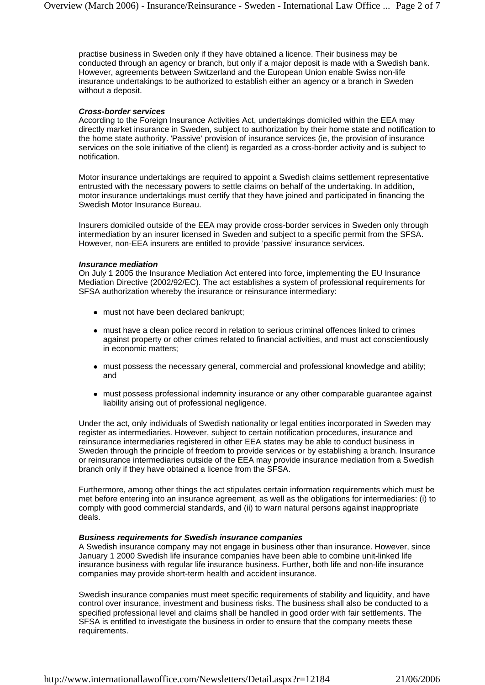practise business in Sweden only if they have obtained a licence. Their business may be conducted through an agency or branch, but only if a major deposit is made with a Swedish bank. However, agreements between Switzerland and the European Union enable Swiss non-life insurance undertakings to be authorized to establish either an agency or a branch in Sweden without a deposit.

### **Cross-border services**

According to the Foreign Insurance Activities Act, undertakings domiciled within the EEA may directly market insurance in Sweden, subject to authorization by their home state and notification to the home state authority. 'Passive' provision of insurance services (ie, the provision of insurance services on the sole initiative of the client) is regarded as a cross-border activity and is subject to notification.

Motor insurance undertakings are required to appoint a Swedish claims settlement representative entrusted with the necessary powers to settle claims on behalf of the undertaking. In addition, motor insurance undertakings must certify that they have joined and participated in financing the Swedish Motor Insurance Bureau.

Insurers domiciled outside of the EEA may provide cross-border services in Sweden only through intermediation by an insurer licensed in Sweden and subject to a specific permit from the SFSA. However, non-EEA insurers are entitled to provide 'passive' insurance services.

### **Insurance mediation**

On July 1 2005 the Insurance Mediation Act entered into force, implementing the EU Insurance Mediation Directive (2002/92/EC). The act establishes a system of professional requirements for SFSA authorization whereby the insurance or reinsurance intermediary:

- must not have been declared bankrupt;
- must have a clean police record in relation to serious criminal offences linked to crimes against property or other crimes related to financial activities, and must act conscientiously in economic matters;
- must possess the necessary general, commercial and professional knowledge and ability; and
- must possess professional indemnity insurance or any other comparable guarantee against liability arising out of professional negligence.

Under the act, only individuals of Swedish nationality or legal entities incorporated in Sweden may register as intermediaries. However, subject to certain notification procedures, insurance and reinsurance intermediaries registered in other EEA states may be able to conduct business in Sweden through the principle of freedom to provide services or by establishing a branch. Insurance or reinsurance intermediaries outside of the EEA may provide insurance mediation from a Swedish branch only if they have obtained a licence from the SFSA.

Furthermore, among other things the act stipulates certain information requirements which must be met before entering into an insurance agreement, as well as the obligations for intermediaries: (i) to comply with good commercial standards, and (ii) to warn natural persons against inappropriate deals.

# **Business requirements for Swedish insurance companies**

A Swedish insurance company may not engage in business other than insurance. However, since January 1 2000 Swedish life insurance companies have been able to combine unit-linked life insurance business with regular life insurance business. Further, both life and non-life insurance companies may provide short-term health and accident insurance.

Swedish insurance companies must meet specific requirements of stability and liquidity, and have control over insurance, investment and business risks. The business shall also be conducted to a specified professional level and claims shall be handled in good order with fair settlements. The SFSA is entitled to investigate the business in order to ensure that the company meets these requirements.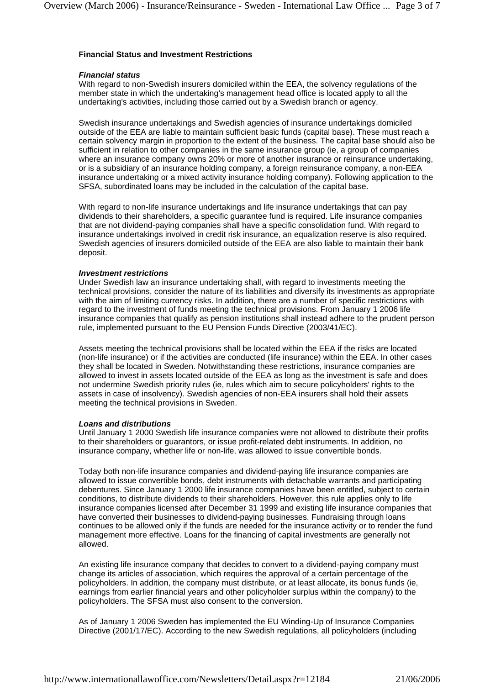# **Financial Status and Investment Restrictions**

# **Financial status**

With regard to non-Swedish insurers domiciled within the EEA, the solvency regulations of the member state in which the undertaking's management head office is located apply to all the undertaking's activities, including those carried out by a Swedish branch or agency.

Swedish insurance undertakings and Swedish agencies of insurance undertakings domiciled outside of the EEA are liable to maintain sufficient basic funds (capital base). These must reach a certain solvency margin in proportion to the extent of the business. The capital base should also be sufficient in relation to other companies in the same insurance group (ie, a group of companies where an insurance company owns 20% or more of another insurance or reinsurance undertaking, or is a subsidiary of an insurance holding company, a foreign reinsurance company, a non-EEA insurance undertaking or a mixed activity insurance holding company). Following application to the SFSA, subordinated loans may be included in the calculation of the capital base.

With regard to non-life insurance undertakings and life insurance undertakings that can pay dividends to their shareholders, a specific guarantee fund is required. Life insurance companies that are not dividend-paying companies shall have a specific consolidation fund. With regard to insurance undertakings involved in credit risk insurance, an equalization reserve is also required. Swedish agencies of insurers domiciled outside of the EEA are also liable to maintain their bank deposit.

# **Investment restrictions**

Under Swedish law an insurance undertaking shall, with regard to investments meeting the technical provisions, consider the nature of its liabilities and diversify its investments as appropriate with the aim of limiting currency risks. In addition, there are a number of specific restrictions with regard to the investment of funds meeting the technical provisions. From January 1 2006 life insurance companies that qualify as pension institutions shall instead adhere to the prudent person rule, implemented pursuant to the EU Pension Funds Directive (2003/41/EC).

Assets meeting the technical provisions shall be located within the EEA if the risks are located (non-life insurance) or if the activities are conducted (life insurance) within the EEA. In other cases they shall be located in Sweden. Notwithstanding these restrictions, insurance companies are allowed to invest in assets located outside of the EEA as long as the investment is safe and does not undermine Swedish priority rules (ie, rules which aim to secure policyholders' rights to the assets in case of insolvency). Swedish agencies of non-EEA insurers shall hold their assets meeting the technical provisions in Sweden.

# **Loans and distributions**

Until January 1 2000 Swedish life insurance companies were not allowed to distribute their profits to their shareholders or guarantors, or issue profit-related debt instruments. In addition, no insurance company, whether life or non-life, was allowed to issue convertible bonds.

Today both non-life insurance companies and dividend-paying life insurance companies are allowed to issue convertible bonds, debt instruments with detachable warrants and participating debentures. Since January 1 2000 life insurance companies have been entitled, subject to certain conditions, to distribute dividends to their shareholders. However, this rule applies only to life insurance companies licensed after December 31 1999 and existing life insurance companies that have converted their businesses to dividend-paying businesses. Fundraising through loans continues to be allowed only if the funds are needed for the insurance activity or to render the fund management more effective. Loans for the financing of capital investments are generally not allowed.

An existing life insurance company that decides to convert to a dividend-paying company must change its articles of association, which requires the approval of a certain percentage of the policyholders. In addition, the company must distribute, or at least allocate, its bonus funds (ie, earnings from earlier financial years and other policyholder surplus within the company) to the policyholders. The SFSA must also consent to the conversion.

As of January 1 2006 Sweden has implemented the EU Winding-Up of Insurance Companies Directive (2001/17/EC). According to the new Swedish regulations, all policyholders (including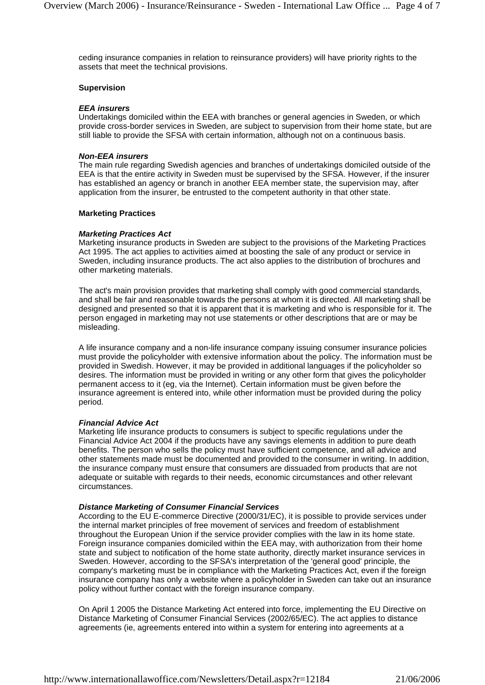ceding insurance companies in relation to reinsurance providers) will have priority rights to the assets that meet the technical provisions.

### **Supervision**

### **EEA insurers**

Undertakings domiciled within the EEA with branches or general agencies in Sweden, or which provide cross-border services in Sweden, are subject to supervision from their home state, but are still liable to provide the SFSA with certain information, although not on a continuous basis.

### **Non-EEA insurers**

The main rule regarding Swedish agencies and branches of undertakings domiciled outside of the EEA is that the entire activity in Sweden must be supervised by the SFSA. However, if the insurer has established an agency or branch in another EEA member state, the supervision may, after application from the insurer, be entrusted to the competent authority in that other state.

### **Marketing Practices**

### **Marketing Practices Act**

Marketing insurance products in Sweden are subject to the provisions of the Marketing Practices Act 1995. The act applies to activities aimed at boosting the sale of any product or service in Sweden, including insurance products. The act also applies to the distribution of brochures and other marketing materials.

The act's main provision provides that marketing shall comply with good commercial standards, and shall be fair and reasonable towards the persons at whom it is directed. All marketing shall be designed and presented so that it is apparent that it is marketing and who is responsible for it. The person engaged in marketing may not use statements or other descriptions that are or may be misleading.

A life insurance company and a non-life insurance company issuing consumer insurance policies must provide the policyholder with extensive information about the policy. The information must be provided in Swedish. However, it may be provided in additional languages if the policyholder so desires. The information must be provided in writing or any other form that gives the policyholder permanent access to it (eg, via the Internet). Certain information must be given before the insurance agreement is entered into, while other information must be provided during the policy period.

#### **Financial Advice Act**

Marketing life insurance products to consumers is subject to specific regulations under the Financial Advice Act 2004 if the products have any savings elements in addition to pure death benefits. The person who sells the policy must have sufficient competence, and all advice and other statements made must be documented and provided to the consumer in writing. In addition, the insurance company must ensure that consumers are dissuaded from products that are not adequate or suitable with regards to their needs, economic circumstances and other relevant circumstances.

#### **Distance Marketing of Consumer Financial Services**

According to the EU E-commerce Directive (2000/31/EC), it is possible to provide services under the internal market principles of free movement of services and freedom of establishment throughout the European Union if the service provider complies with the law in its home state. Foreign insurance companies domiciled within the EEA may, with authorization from their home state and subject to notification of the home state authority, directly market insurance services in Sweden. However, according to the SFSA's interpretation of the 'general good' principle, the company's marketing must be in compliance with the Marketing Practices Act, even if the foreign insurance company has only a website where a policyholder in Sweden can take out an insurance policy without further contact with the foreign insurance company.

On April 1 2005 the Distance Marketing Act entered into force, implementing the EU Directive on Distance Marketing of Consumer Financial Services (2002/65/EC). The act applies to distance agreements (ie, agreements entered into within a system for entering into agreements at a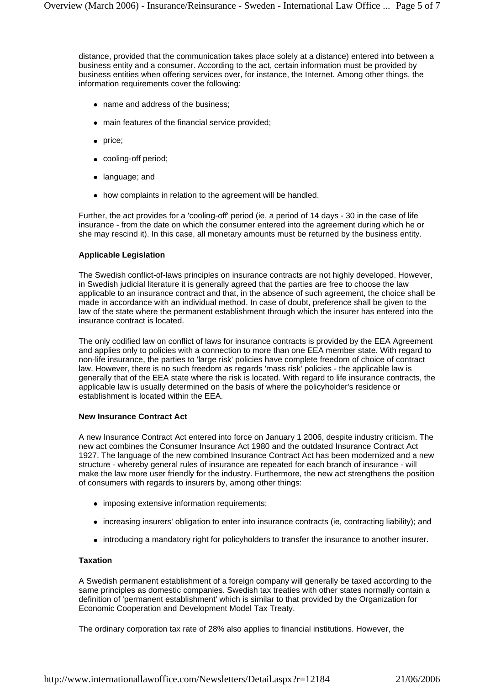distance, provided that the communication takes place solely at a distance) entered into between a business entity and a consumer. According to the act, certain information must be provided by business entities when offering services over, for instance, the Internet. Among other things, the information requirements cover the following:

- name and address of the business:
- main features of the financial service provided;
- price;
- cooling-off period;
- language; and
- how complaints in relation to the agreement will be handled.

Further, the act provides for a 'cooling-off' period (ie, a period of 14 days - 30 in the case of life insurance - from the date on which the consumer entered into the agreement during which he or she may rescind it). In this case, all monetary amounts must be returned by the business entity.

# **Applicable Legislation**

The Swedish conflict-of-laws principles on insurance contracts are not highly developed. However, in Swedish judicial literature it is generally agreed that the parties are free to choose the law applicable to an insurance contract and that, in the absence of such agreement, the choice shall be made in accordance with an individual method. In case of doubt, preference shall be given to the law of the state where the permanent establishment through which the insurer has entered into the insurance contract is located.

The only codified law on conflict of laws for insurance contracts is provided by the EEA Agreement and applies only to policies with a connection to more than one EEA member state. With regard to non-life insurance, the parties to 'large risk' policies have complete freedom of choice of contract law. However, there is no such freedom as regards 'mass risk' policies - the applicable law is generally that of the EEA state where the risk is located. With regard to life insurance contracts, the applicable law is usually determined on the basis of where the policyholder's residence or establishment is located within the EEA.

# **New Insurance Contract Act**

A new Insurance Contract Act entered into force on January 1 2006, despite industry criticism. The new act combines the Consumer Insurance Act 1980 and the outdated Insurance Contract Act 1927. The language of the new combined Insurance Contract Act has been modernized and a new structure - whereby general rules of insurance are repeated for each branch of insurance - will make the law more user friendly for the industry. Furthermore, the new act strengthens the position of consumers with regards to insurers by, among other things:

- imposing extensive information requirements;
- increasing insurers' obligation to enter into insurance contracts (ie, contracting liability); and
- introducing a mandatory right for policyholders to transfer the insurance to another insurer.

# **Taxation**

A Swedish permanent establishment of a foreign company will generally be taxed according to the same principles as domestic companies. Swedish tax treaties with other states normally contain a definition of 'permanent establishment' which is similar to that provided by the Organization for Economic Cooperation and Development Model Tax Treaty.

The ordinary corporation tax rate of 28% also applies to financial institutions. However, the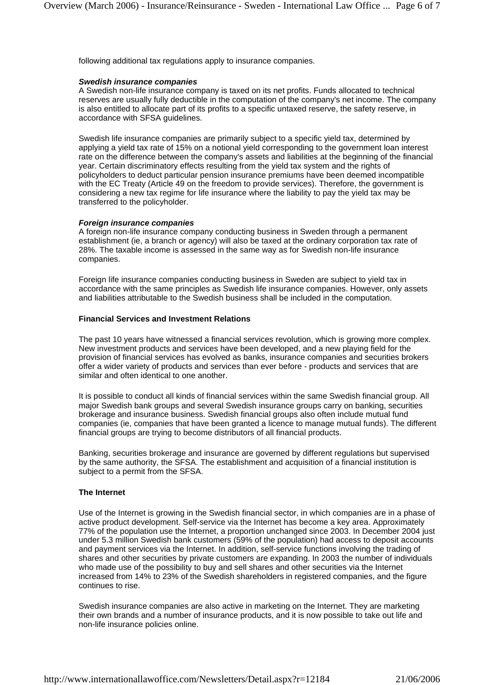following additional tax regulations apply to insurance companies.

### **Swedish insurance companies**

A Swedish non-life insurance company is taxed on its net profits. Funds allocated to technical reserves are usually fully deductible in the computation of the company's net income. The company is also entitled to allocate part of its profits to a specific untaxed reserve, the safety reserve, in accordance with SFSA guidelines.

Swedish life insurance companies are primarily subject to a specific yield tax, determined by applying a yield tax rate of 15% on a notional yield corresponding to the government loan interest rate on the difference between the company's assets and liabilities at the beginning of the financial year. Certain discriminatory effects resulting from the yield tax system and the rights of policyholders to deduct particular pension insurance premiums have been deemed incompatible with the EC Treaty (Article 49 on the freedom to provide services). Therefore, the government is considering a new taxregime for life insurance where the liability to pay the yield tax may be transferred to the policyholder.

# **Foreign insurance companies**

A foreign non-life insurance company conducting business in Sweden through a permanent establishment (ie, a branch or agency) will also be taxed at the ordinary corporation tax rate of 28%. The taxable income is assessed in the same way as for Swedish non-life insurance companies.

Foreign life insurance companies conducting business in Sweden are subject to yield tax in accordance with the same principles as Swedish life insurance companies. However, only assets and liabilities attributable to the Swedish business shall be included in the computation.

### **Financial Services and Investment Relations**

The past 10 years have witnessed a financial services revolution, which is growing more complex. New investment products and services have been developed, and a new playing field for the provision of financial services has evolved as banks, insurance companies and securities brokers offer a wider variety of products and services than ever before - products and services that are similar and often identical to one another.

It is possible to conduct all kinds of financial services within the same Swedish financial group. All major Swedish bank groups and several Swedish insurance groups carry on banking, securities brokerage and insurance business. Swedish financial groups also often include mutual fund companies (ie, companies that have been granted a licence to manage mutual funds). The different financial groups are trying to become distributors of all financial products.

Banking, securities brokerage and insurance are governed by different regulations but supervised by the same authority, the SFSA. The establishment and acquisition of a financial institution is subject to a permit from the SFSA.

# **The Internet**

Use of the Internet is growing in the Swedish financial sector, in which companies are in a phase of active product development. Self-service via the Internet has become a key area. Approximately 77% of the population use the Internet, a proportion unchanged since 2003. In December 2004 just under 5.3 million Swedish bank customers (59% of the population) had access to deposit accounts and payment services via the Internet. In addition, self-service functions involving the trading of shares and other securities by private customers are expanding. In 2003 the number of individuals who made use of the possibility to buy and sell shares and other securities via the Internet increased from 14% to 23% of the Swedish shareholders in registered companies, and the figure continues to rise.

Swedish insurance companies are also active in marketing on the Internet. They are marketing their own brands and a number of insurance products, and it is now possible to take out life and non-life insurance policies online.